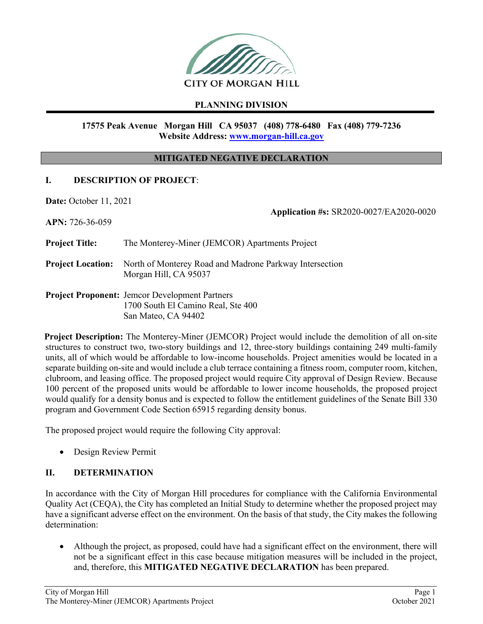

# **PLANNING DIVISION**

### **17575 Peak Avenue Morgan Hill CA 95037 (408) 778-6480 Fax (408) 779-7236 Website Address: www.morgan-hill.ca.gov**

### **MITIGATED NEGATIVE DECLARATION**

#### **I. DESCRIPTION OF PROJECT**:

**Date:** October 11, 2021

**Application #s:** SR2020-0027/EA2020-0020

**APN:** 726-36-059

**Project Title:** The Monterey-Miner (JEMCOR) Apartments Project

**Project Location:** North of Monterey Road and Madrone Parkway Intersection Morgan Hill, CA 95037

**Project Proponent:** Jemcor Development Partners 1700 South El Camino Real, Ste 400 San Mateo, CA 94402

**Project Description:** The Monterey-Miner (JEMCOR) Project would include the demolition of all on-site structures to construct two, two-story buildings and 12, three-story buildings containing 249 multi-family units, all of which would be affordable to low-income households. Project amenities would be located in a separate building on-site and would include a club terrace containing a fitness room, computer room, kitchen, clubroom, and leasing office. The proposed project would require City approval of Design Review. Because 100 percent of the proposed units would be affordable to lower income households, the proposed project would qualify for a density bonus and is expected to follow the entitlement guidelines of the Senate Bill 330 program and Government Code Section 65915 regarding density bonus.

The proposed project would require the following City approval:

Design Review Permit

### **II. DETERMINATION**

In accordance with the City of Morgan Hill procedures for compliance with the California Environmental Quality Act (CEQA), the City has completed an Initial Study to determine whether the proposed project may have a significant adverse effect on the environment. On the basis of that study, the City makes the following determination:

 Although the project, as proposed, could have had a significant effect on the environment, there will not be a significant effect in this case because mitigation measures will be included in the project, and, therefore, this **MITIGATED NEGATIVE DECLARATION** has been prepared.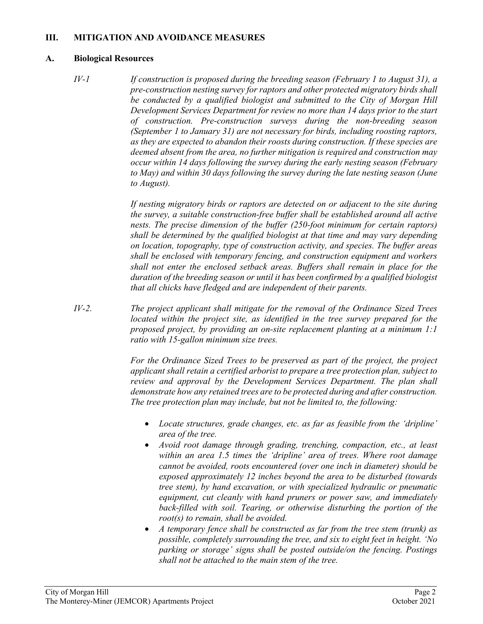### **III. MITIGATION AND AVOIDANCE MEASURES**

#### **A. Biological Resources**

*IV-1 If construction is proposed during the breeding season (February 1 to August 31), a pre-construction nesting survey for raptors and other protected migratory birds shall be conducted by a qualified biologist and submitted to the City of Morgan Hill Development Services Department for review no more than 14 days prior to the start of construction. Pre-construction surveys during the non-breeding season (September 1 to January 31) are not necessary for birds, including roosting raptors, as they are expected to abandon their roosts during construction. If these species are deemed absent from the area, no further mitigation is required and construction may occur within 14 days following the survey during the early nesting season (February to May) and within 30 days following the survey during the late nesting season (June to August).* 

> *If nesting migratory birds or raptors are detected on or adjacent to the site during the survey, a suitable construction-free buffer shall be established around all active nests. The precise dimension of the buffer (250-foot minimum for certain raptors) shall be determined by the qualified biologist at that time and may vary depending on location, topography, type of construction activity, and species. The buffer areas shall be enclosed with temporary fencing, and construction equipment and workers shall not enter the enclosed setback areas. Buffers shall remain in place for the duration of the breeding season or until it has been confirmed by a qualified biologist that all chicks have fledged and are independent of their parents.*

*IV-2. The project applicant shall mitigate for the removal of the Ordinance Sized Trees located within the project site, as identified in the tree survey prepared for the proposed project, by providing an on-site replacement planting at a minimum 1:1 ratio with 15-gallon minimum size trees.* 

> For the Ordinance Sized Trees to be preserved as part of the project, the project *applicant shall retain a certified arborist to prepare a tree protection plan, subject to review and approval by the Development Services Department. The plan shall demonstrate how any retained trees are to be protected during and after construction. The tree protection plan may include, but not be limited to, the following:*

- *Locate structures, grade changes, etc. as far as feasible from the 'dripline' area of the tree.*
- *Avoid root damage through grading, trenching, compaction, etc., at least within an area 1.5 times the 'dripline' area of trees. Where root damage cannot be avoided, roots encountered (over one inch in diameter) should be exposed approximately 12 inches beyond the area to be disturbed (towards tree stem), by hand excavation, or with specialized hydraulic or pneumatic equipment, cut cleanly with hand pruners or power saw, and immediately back-filled with soil. Tearing, or otherwise disturbing the portion of the root(s) to remain, shall be avoided.*
- *A temporary fence shall be constructed as far from the tree stem (trunk) as possible, completely surrounding the tree, and six to eight feet in height. 'No parking or storage' signs shall be posted outside/on the fencing. Postings shall not be attached to the main stem of the tree.*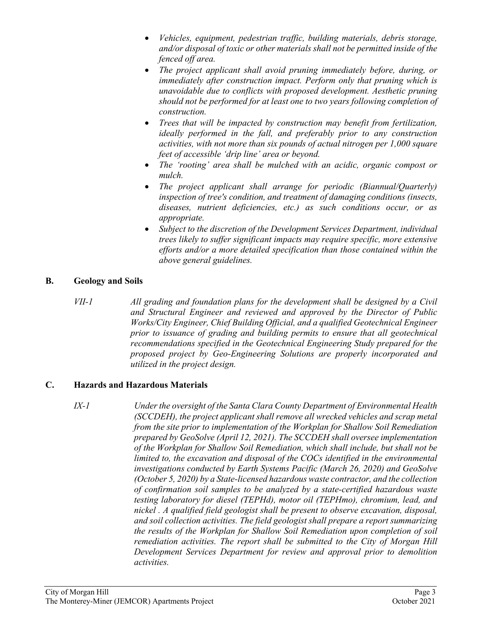- *Vehicles, equipment, pedestrian traffic, building materials, debris storage, and/or disposal of toxic or other materials shall not be permitted inside of the fenced off area.*
- *The project applicant shall avoid pruning immediately before, during, or immediately after construction impact. Perform only that pruning which is unavoidable due to conflicts with proposed development. Aesthetic pruning should not be performed for at least one to two years following completion of construction.*
- *Trees that will be impacted by construction may benefit from fertilization, ideally performed in the fall, and preferably prior to any construction activities, with not more than six pounds of actual nitrogen per 1,000 square feet of accessible 'drip line' area or beyond.*
- *The 'rooting' area shall be mulched with an acidic, organic compost or mulch.*
- *The project applicant shall arrange for periodic (Biannual/Quarterly) inspection of tree's condition, and treatment of damaging conditions (insects, diseases, nutrient deficiencies, etc.) as such conditions occur, or as appropriate.*
- *Subject to the discretion of the Development Services Department, individual trees likely to suffer significant impacts may require specific, more extensive efforts and/or a more detailed specification than those contained within the above general guidelines.*

## **B. Geology and Soils**

*VII-1 All grading and foundation plans for the development shall be designed by a Civil and Structural Engineer and reviewed and approved by the Director of Public Works/City Engineer, Chief Building Official, and a qualified Geotechnical Engineer prior to issuance of grading and building permits to ensure that all geotechnical recommendations specified in the Geotechnical Engineering Study prepared for the proposed project by Geo-Engineering Solutions are properly incorporated and utilized in the project design.*

### **C. Hazards and Hazardous Materials**

*IX-1 Under the oversight of the Santa Clara County Department of Environmental Health (SCCDEH), the project applicant shall remove all wrecked vehicles and scrap metal from the site prior to implementation of the Workplan for Shallow Soil Remediation prepared by GeoSolve (April 12, 2021). The SCCDEH shall oversee implementation of the Workplan for Shallow Soil Remediation, which shall include, but shall not be limited to, the excavation and disposal of the COCs identified in the environmental investigations conducted by Earth Systems Pacific (March 26, 2020) and GeoSolve (October 5, 2020) by a State-licensed hazardous waste contractor, and the collection of confirmation soil samples to be analyzed by a state-certified hazardous waste testing laboratory for diesel (TEPHd), motor oil (TEPHmo), chromium, lead, and nickel . A qualified field geologist shall be present to observe excavation, disposal, and soil collection activities. The field geologist shall prepare a report summarizing the results of the Workplan for Shallow Soil Remediation upon completion of soil remediation activities. The report shall be submitted to the City of Morgan Hill Development Services Department for review and approval prior to demolition activities.*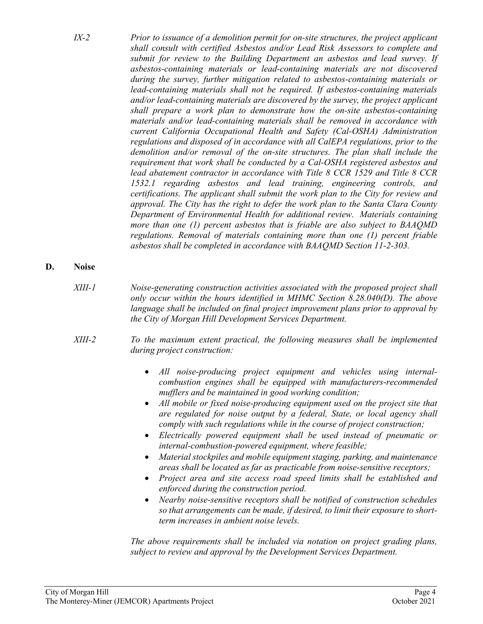- *IX-2 Prior to issuance of a demolition permit for on-site structures, the project applicant shall consult with certified Asbestos and/or Lead Risk Assessors to complete and submit for review to the Building Department an asbestos and lead survey. If asbestos-containing materials or lead-containing materials are not discovered during the survey, further mitigation related to asbestos-containing materials or lead-containing materials shall not be required. If asbestos-containing materials and/or lead-containing materials are discovered by the survey, the project applicant shall prepare a work plan to demonstrate how the on-site asbestos-containing materials and/or lead-containing materials shall be removed in accordance with current California Occupational Health and Safety (Cal-OSHA) Administration regulations and disposed of in accordance with all CalEPA regulations, prior to the demolition and/or removal of the on-site structures. The plan shall include the requirement that work shall be conducted by a Cal-OSHA registered asbestos and lead abatement contractor in accordance with Title 8 CCR 1529 and Title 8 CCR 1532.1 regarding asbestos and lead training, engineering controls, and certifications. The applicant shall submit the work plan to the City for review and approval. The City has the right to defer the work plan to the Santa Clara County Department of Environmental Health for additional review. Materials containing more than one (1) percent asbestos that is friable are also subject to BAAQMD regulations. Removal of materials containing more than one (1) percent friable asbestos shall be completed in accordance with BAAQMD Section 11-2-303.*
- **D. Noise** 
	- *XIII-1 Noise-generating construction activities associated with the proposed project shall only occur within the hours identified in MHMC Section 8.28.040(D). The above language shall be included on final project improvement plans prior to approval by the City of Morgan Hill Development Services Department.*
	- *XIII-2 To the maximum extent practical, the following measures shall be implemented during project construction:* 
		- *All noise-producing project equipment and vehicles using internalcombustion engines shall be equipped with manufacturers-recommended mufflers and be maintained in good working condition;*
		- *All mobile or fixed noise-producing equipment used on the project site that are regulated for noise output by a federal, State, or local agency shall comply with such regulations while in the course of project construction;*
		- *Electrically powered equipment shall be used instead of pneumatic or internal-combustion-powered equipment, where feasible;*
		- *Material stockpiles and mobile equipment staging, parking, and maintenance areas shall be located as far as practicable from noise-sensitive receptors;*
		- *Project area and site access road speed limits shall be established and enforced during the construction period.*
		- *Nearby noise-sensitive receptors shall be notified of construction schedules so that arrangements can be made, if desired, to limit their exposure to shortterm increases in ambient noise levels.*

*The above requirements shall be included via notation on project grading plans, subject to review and approval by the Development Services Department.*